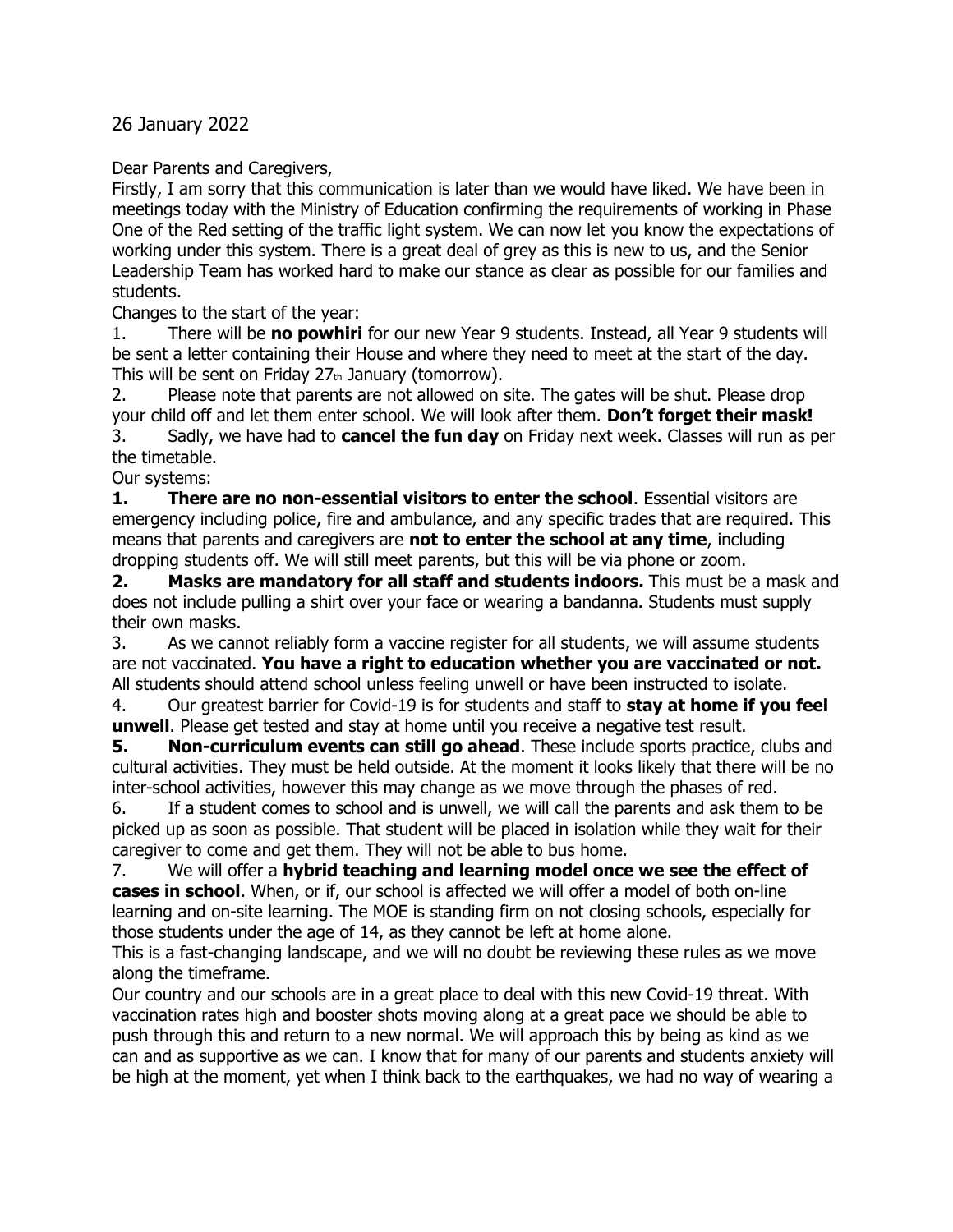26 January 2022

Dear Parents and Caregivers,

Firstly, I am sorry that this communication is later than we would have liked. We have been in meetings today with the Ministry of Education confirming the requirements of working in Phase One of the Red setting of the traffic light system. We can now let you know the expectations of working under this system. There is a great deal of grey as this is new to us, and the Senior Leadership Team has worked hard to make our stance as clear as possible for our families and students.

Changes to the start of the year:

1. There will be **no powhiri** for our new Year 9 students. Instead, all Year 9 students will be sent a letter containing their House and where they need to meet at the start of the day. This will be sent on Friday  $27<sub>th</sub>$  January (tomorrow).

2. Please note that parents are not allowed on site. The gates will be shut. Please drop your child off and let them enter school. We will look after them. **Don't forget their mask!** 3. Sadly, we have had to **cancel the fun day** on Friday next week. Classes will run as per the timetable.

Our systems:

**1. There are no non-essential visitors to enter the school**. Essential visitors are emergency including police, fire and ambulance, and any specific trades that are required. This means that parents and caregivers are **not to enter the school at any time**, including dropping students off. We will still meet parents, but this will be via phone or zoom.

**2. Masks are mandatory for all staff and students indoors.** This must be a mask and does not include pulling a shirt over your face or wearing a bandanna. Students must supply their own masks.

3. As we cannot reliably form a vaccine register for all students, we will assume students are not vaccinated. **You have a right to education whether you are vaccinated or not.**  All students should attend school unless feeling unwell or have been instructed to isolate.

4. Our greatest barrier for Covid-19 is for students and staff to **stay at home if you feel unwell**. Please get tested and stay at home until you receive a negative test result.

**5. Non-curriculum events can still go ahead**. These include sports practice, clubs and cultural activities. They must be held outside. At the moment it looks likely that there will be no inter-school activities, however this may change as we move through the phases of red.

6. If a student comes to school and is unwell, we will call the parents and ask them to be picked up as soon as possible. That student will be placed in isolation while they wait for their caregiver to come and get them. They will not be able to bus home.

7. We will offer a **hybrid teaching and learning model once we see the effect of cases in school**. When, or if, our school is affected we will offer a model of both on-line learning and on-site learning. The MOE is standing firm on not closing schools, especially for those students under the age of 14, as they cannot be left at home alone.

This is a fast-changing landscape, and we will no doubt be reviewing these rules as we move along the timeframe.

Our country and our schools are in a great place to deal with this new Covid-19 threat. With vaccination rates high and booster shots moving along at a great pace we should be able to push through this and return to a new normal. We will approach this by being as kind as we can and as supportive as we can. I know that for many of our parents and students anxiety will be high at the moment, yet when I think back to the earthquakes, we had no way of wearing a